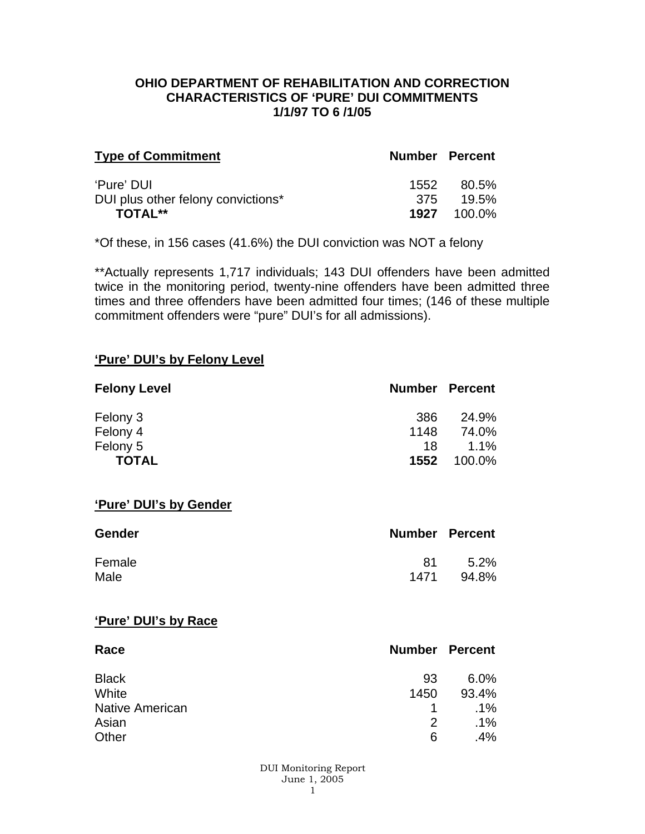### **OHIO DEPARTMENT OF REHABILITATION AND CORRECTION CHARACTERISTICS OF 'PURE' DUI COMMITMENTS 1/1/97 TO 6 /1/05**

| <b>Type of Commitment</b>          | <b>Number Percent</b> |                    |
|------------------------------------|-----------------------|--------------------|
| 'Pure' DUI                         | 1552                  | - 80.5%            |
| DUI plus other felony convictions* |                       | 375 19.5%          |
| <b>TOTAL**</b>                     |                       | <b>1927</b> 100.0% |

\*Of these, in 156 cases (41.6%) the DUI conviction was NOT a felony

\*\*Actually represents 1,717 individuals; 143 DUI offenders have been admitted twice in the monitoring period, twenty-nine offenders have been admitted three times and three offenders have been admitted four times; (146 of these multiple commitment offenders were "pure" DUI's for all admissions).

#### **'Pure' DUI's by Felony Level**

| <b>Felony Level</b> | <b>Number Percent</b> |         |
|---------------------|-----------------------|---------|
| Felony 3            | -386                  | 24.9%   |
| Felony 4            | 1148                  | 74.0%   |
| Felony 5            | 18                    | $1.1\%$ |
| <b>TOTAL</b>        | 1552                  | 100.0%  |

#### **'Pure' DUI's by Gender**

| <b>Gender</b> | <b>Number Percent</b> |         |
|---------------|-----------------------|---------|
| Female        | 81                    | $5.2\%$ |
| Male          | 1471                  | 94.8%   |

#### **'Pure' DUI's by Race**

| Race                   | <b>Number Percent</b> |        |
|------------------------|-----------------------|--------|
| <b>Black</b>           | 93                    | 6.0%   |
| White                  | 1450                  | 93.4%  |
| <b>Native American</b> |                       | $.1\%$ |
| Asian                  | 2                     | $.1\%$ |
| Other                  | 6                     | .4%    |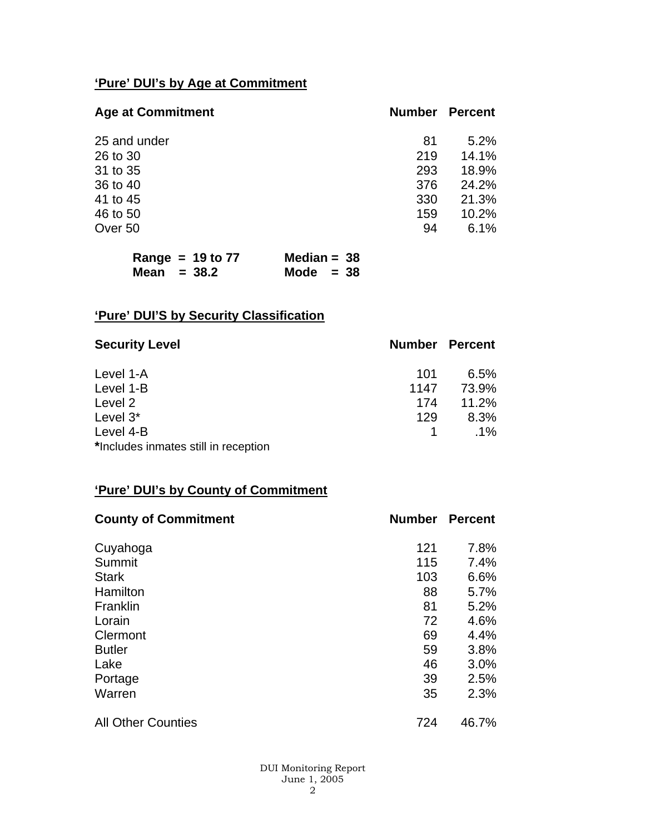# **'Pure' DUI's by Age at Commitment**

| <b>Age at Commitment</b> | <b>Number</b> | <b>Percent</b> |
|--------------------------|---------------|----------------|
| 25 and under             | 81            | 5.2%           |
| 26 to 30                 | 219           | 14.1%          |
| 31 to 35                 | 293           | 18.9%          |
| 36 to 40                 | 376           | 24.2%          |
| 41 to 45                 | 330           | 21.3%          |
| 46 to 50                 | 159           | 10.2%          |
| Over 50                  | 94            | 6.1%           |

| Range = $19$ to $77$ | Median = $38$ |
|----------------------|---------------|
| Mean $= 38.2$        | Mode $= 38$   |

# **'Pure' DUI'S by Security Classification**

| <b>Security Level</b>                | <b>Number Percent</b> |        |
|--------------------------------------|-----------------------|--------|
| Level 1-A                            | 101                   | 6.5%   |
| Level 1-B                            | 1147                  | 73.9%  |
| Level 2                              | 174                   | 11.2%  |
| Level 3*                             | 129                   | 8.3%   |
| Level 4-B                            |                       | $.1\%$ |
| *Includes inmates still in reception |                       |        |

# **'Pure' DUI's by County of Commitment**

| <b>County of Commitment</b> | <b>Number</b> | <b>Percent</b> |
|-----------------------------|---------------|----------------|
| Cuyahoga                    | 121           | 7.8%           |
| Summit                      | 115           | 7.4%           |
| <b>Stark</b>                | 103           | 6.6%           |
| Hamilton                    | 88            | 5.7%           |
| Franklin                    | 81            | 5.2%           |
| Lorain                      | 72            | 4.6%           |
| Clermont                    | 69            | 4.4%           |
| <b>Butler</b>               | 59            | 3.8%           |
| Lake                        | 46            | 3.0%           |
| Portage                     | 39            | 2.5%           |
| Warren                      | 35            | 2.3%           |
| <b>All Other Counties</b>   | 724           | 46.7%          |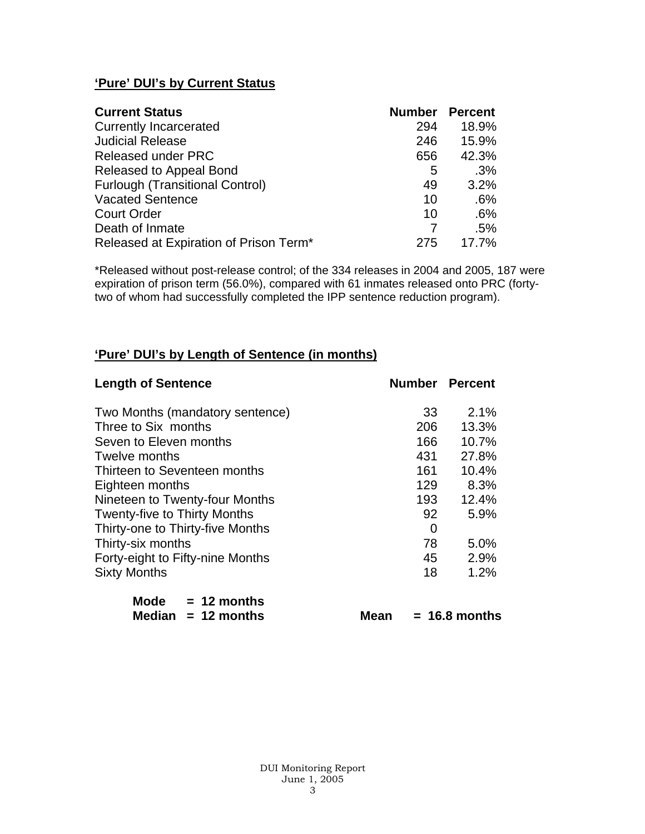# **'Pure' DUI's by Current Status**

| <b>Current Status</b>                  | <b>Number Percent</b> |       |
|----------------------------------------|-----------------------|-------|
| <b>Currently Incarcerated</b>          | 294                   | 18.9% |
| <b>Judicial Release</b>                | 246                   | 15.9% |
| <b>Released under PRC</b>              | 656                   | 42.3% |
| Released to Appeal Bond                | 5                     | .3%   |
| <b>Furlough (Transitional Control)</b> | 49                    | 3.2%  |
| <b>Vacated Sentence</b>                | 10                    | .6%   |
| <b>Court Order</b>                     | 10                    | .6%   |
| Death of Inmate                        |                       | .5%   |
| Released at Expiration of Prison Term* | 275                   | 17.7% |

\*Released without post-release control; of the 334 releases in 2004 and 2005, 187 were expiration of prison term (56.0%), compared with 61 inmates released onto PRC (fortytwo of whom had successfully completed the IPP sentence reduction program).

## **'Pure' DUI's by Length of Sentence (in months)**

| <b>Length of Sentence</b>           |     | <b>Number Percent</b> |
|-------------------------------------|-----|-----------------------|
| Two Months (mandatory sentence)     | 33  | 2.1%                  |
| Three to Six months                 | 206 | 13.3%                 |
| Seven to Eleven months              | 166 | 10.7%                 |
| Twelve months                       | 431 | 27.8%                 |
| Thirteen to Seventeen months        | 161 | 10.4%                 |
| Eighteen months                     | 129 | 8.3%                  |
| Nineteen to Twenty-four Months      | 193 | 12.4%                 |
| <b>Twenty-five to Thirty Months</b> | 92  | 5.9%                  |
| Thirty-one to Thirty-five Months    | 0   |                       |
| Thirty-six months                   | 78  | 5.0%                  |
| Forty-eight to Fifty-nine Months    | 45  | 2.9%                  |
| <b>Sixty Months</b>                 | 18  | 1.2%                  |
| $\overline{\phantom{a}}$            |     |                       |

| Mode | $= 12$ months        |
|------|----------------------|
|      | Median $= 12$ months |

**Mean = 16.8 months**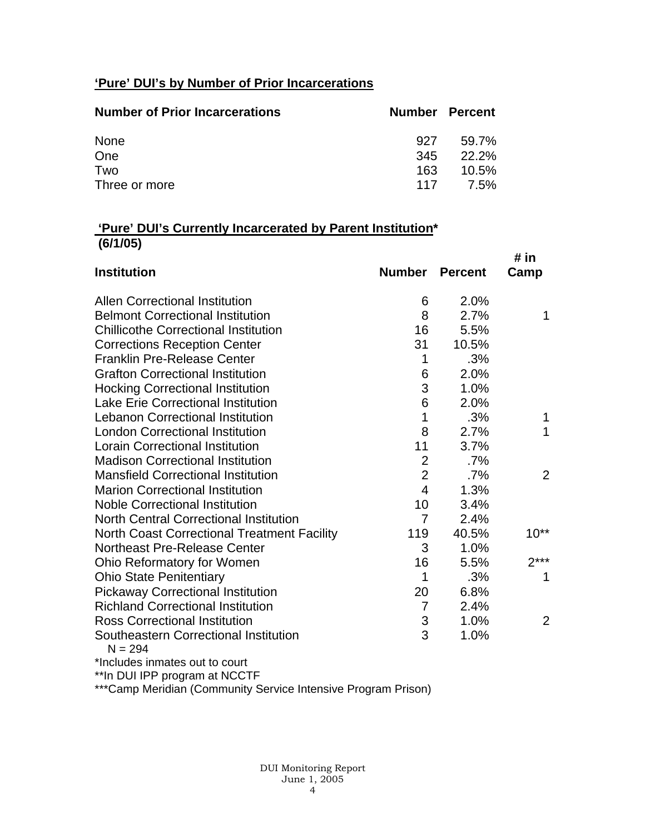# **'Pure' DUI's by Number of Prior Incarcerations**

| <b>Number of Prior Incarcerations</b> | <b>Number Percent</b> |          |
|---------------------------------------|-----------------------|----------|
| None                                  | 927                   | 59.7%    |
| One                                   | 345                   | $22.2\%$ |
| Two                                   | 163                   | 10.5%    |
| Three or more                         | 117                   | 7.5%     |

## **'Pure' DUI's Currently Incarcerated by Parent Institution\* (6/1/05)**

|                                                    |                |                | # in           |
|----------------------------------------------------|----------------|----------------|----------------|
| <b>Institution</b>                                 | <b>Number</b>  | <b>Percent</b> | Camp           |
| <b>Allen Correctional Institution</b>              | 6              | 2.0%           |                |
| <b>Belmont Correctional Institution</b>            | 8              | 2.7%           | 1              |
| <b>Chillicothe Correctional Institution</b>        | 16             | 5.5%           |                |
| <b>Corrections Reception Center</b>                | 31             | 10.5%          |                |
| <b>Franklin Pre-Release Center</b>                 | 1              | .3%            |                |
| <b>Grafton Correctional Institution</b>            | 6              | 2.0%           |                |
| <b>Hocking Correctional Institution</b>            | 3              | 1.0%           |                |
| <b>Lake Erie Correctional Institution</b>          | 6              | 2.0%           |                |
| <b>Lebanon Correctional Institution</b>            | 1              | .3%            | 1              |
| <b>London Correctional Institution</b>             | 8              | 2.7%           | 1              |
| <b>Lorain Correctional Institution</b>             | 11             | 3.7%           |                |
| <b>Madison Correctional Institution</b>            | $\overline{2}$ | $.7\%$         |                |
| <b>Mansfield Correctional Institution</b>          | $\overline{2}$ | .7%            | 2              |
| <b>Marion Correctional Institution</b>             | $\overline{4}$ | 1.3%           |                |
| <b>Noble Correctional Institution</b>              | 10             | 3.4%           |                |
| <b>North Central Correctional Institution</b>      | 7              | 2.4%           |                |
| <b>North Coast Correctional Treatment Facility</b> | 119            | 40.5%          | $10^{**}$      |
| <b>Northeast Pre-Release Center</b>                | 3              | 1.0%           |                |
| Ohio Reformatory for Women                         | 16             | 5.5%           | $2***$         |
| <b>Ohio State Penitentiary</b>                     | 1              | .3%            | 1              |
| <b>Pickaway Correctional Institution</b>           | 20             | 6.8%           |                |
| <b>Richland Correctional Institution</b>           | $\overline{7}$ | 2.4%           |                |
| <b>Ross Correctional Institution</b>               | 3              | 1.0%           | $\overline{2}$ |
| Southeastern Correctional Institution<br>$N = 294$ | 3              | 1.0%           |                |
| *Includes inmates out to court                     |                |                |                |

\*\*In DUI IPP program at NCCTF

\*\*\*Camp Meridian (Community Service Intensive Program Prison)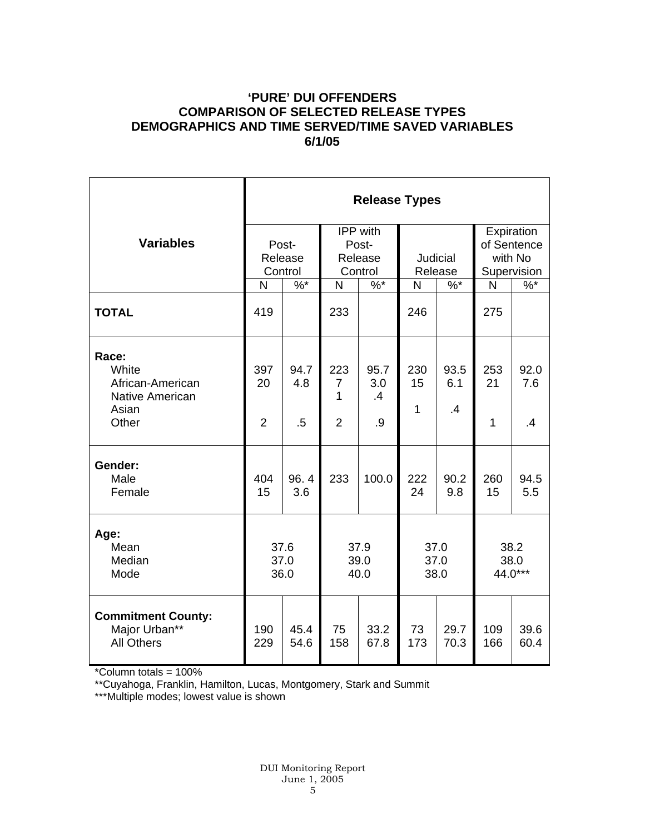## **'PURE' DUI OFFENDERS COMPARISON OF SELECTED RELEASE TYPES DEMOGRAPHICS AND TIME SERVED/TIME SAVED VARIABLES 6/1/05**

|                                                                 | <b>Release Types</b> |              |                              |                   |                      |                 |                                      |              |  |
|-----------------------------------------------------------------|----------------------|--------------|------------------------------|-------------------|----------------------|-----------------|--------------------------------------|--------------|--|
| <b>Variables</b>                                                | Post-<br>Release     |              | IPP with<br>Post-<br>Release |                   | Judicial             |                 | Expiration<br>of Sentence<br>with No |              |  |
|                                                                 | Control              |              | Control                      |                   | Release              |                 | Supervision                          |              |  |
|                                                                 | N                    | $\%$ *       | N                            | $\%$ *            | N                    | $\%$ *          | N                                    | $\%$ *       |  |
| <b>TOTAL</b>                                                    | 419                  |              | 233                          |                   | 246                  |                 | 275                                  |              |  |
| Race:<br>White<br>African-American<br><b>Native American</b>    | 397<br>20            | 94.7<br>4.8  | 223<br>$\overline{7}$<br>1   | 95.7<br>3.0<br>.4 | 230<br>15            | 93.5<br>6.1     | 253<br>21                            | 92.0<br>7.6  |  |
| Asian<br>Other                                                  | $\overline{2}$       | $.5\,$       | $\overline{2}$               | .9                | $\mathbf{1}$         | $\overline{.4}$ | $\mathbf{1}$                         | .4           |  |
| Gender:<br>Male<br>Female                                       | 404<br>15            | 96.4<br>3.6  | 233                          | 100.0             | 222<br>24            | 90.2<br>9.8     | 260<br>15                            | 94.5<br>5.5  |  |
| Age:<br>Mean<br>Median<br>Mode                                  | 37.6<br>37.0<br>36.0 |              | 37.9<br>39.0<br>40.0         |                   | 37.0<br>37.0<br>38.0 |                 | 38.2<br>38.0<br>44.0***              |              |  |
| <b>Commitment County:</b><br>Major Urban**<br><b>All Others</b> | 190<br>229           | 45.4<br>54.6 | 75<br>158                    | 33.2<br>67.8      | 73<br>173            | 29.7<br>70.3    | 109<br>166                           | 39.6<br>60.4 |  |

\*Column totals = 100%

\*\*Cuyahoga, Franklin, Hamilton, Lucas, Montgomery, Stark and Summit

\*\*\*Multiple modes; lowest value is shown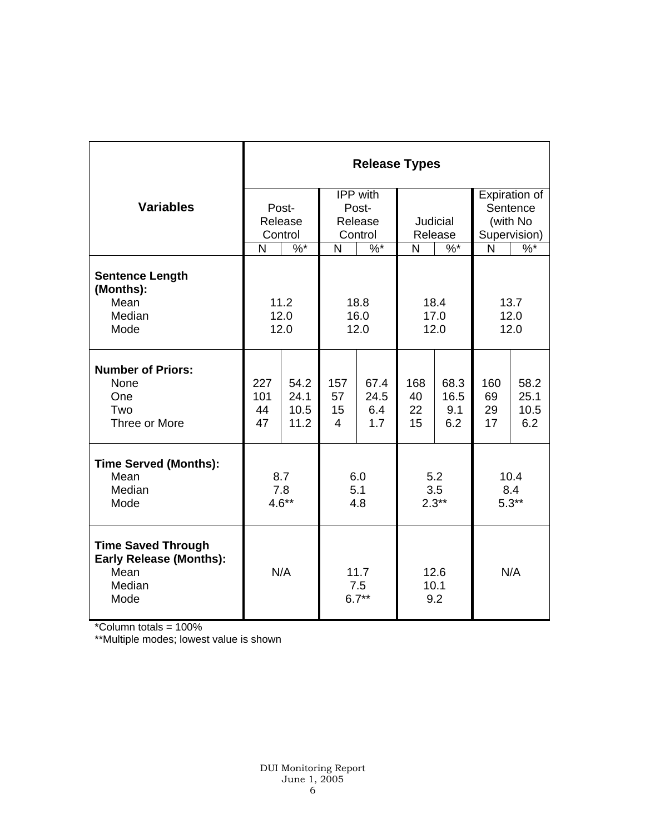|                                                                                       | <b>Release Types</b> |                               |                |         |                     |         |               |              |  |
|---------------------------------------------------------------------------------------|----------------------|-------------------------------|----------------|---------|---------------------|---------|---------------|--------------|--|
|                                                                                       |                      |                               | IPP with       |         |                     |         | Expiration of |              |  |
| <b>Variables</b>                                                                      |                      | Post-                         |                | Post-   |                     |         |               | Sentence     |  |
|                                                                                       |                      | Release                       | Release        |         | Judicial            |         | (with No      |              |  |
|                                                                                       |                      | Control                       |                | Control |                     | Release |               | Supervision) |  |
|                                                                                       | N                    | $\%$ *                        | N              | $\%$ *  | N                   | $\%$ *  | $\mathsf{N}$  | $\%$         |  |
| <b>Sentence Length</b><br>(Months):                                                   |                      |                               |                |         |                     |         |               |              |  |
| Mean<br>Median                                                                        | 11.2                 |                               | 18.8           |         | 18.4                |         | 13.7<br>12.0  |              |  |
| Mode                                                                                  | 12.0<br>12.0         |                               | 16.0<br>12.0   |         | 17.0<br>12.0        |         | 12.0          |              |  |
|                                                                                       |                      |                               |                |         |                     |         |               |              |  |
| <b>Number of Priors:</b><br>None                                                      | 227                  | 54.2                          | 157            | 67.4    | 168                 | 68.3    | 160           | 58.2         |  |
| One                                                                                   | 101                  | 24.1                          | 57             | 24.5    | 40                  | 16.5    | 69            | 25.1         |  |
| Two                                                                                   | 44                   | 10.5                          | 15             | 6.4     | 22                  | 9.1     | 29            | 10.5         |  |
| Three or More                                                                         | 47                   | 11.2                          | $\overline{4}$ | 1.7     | 15                  | 6.2     | 17            | 6.2          |  |
| <b>Time Served (Months):</b>                                                          |                      |                               |                |         |                     |         |               |              |  |
| Mean                                                                                  | 8.7                  |                               | 6.0            |         | 5.2                 |         | 10.4<br>8.4   |              |  |
| Median<br>Mode                                                                        | 7.8<br>$4.6**$       |                               | 5.1<br>4.8     |         | 3.5<br>$2.3**$      |         | $5.3**$       |              |  |
|                                                                                       |                      |                               |                |         |                     |         |               |              |  |
| <b>Time Saved Through</b><br><b>Early Release (Months):</b><br>Mean<br>Median<br>Mode |                      | N/A<br>11.7<br>7.5<br>$6.7**$ |                |         | 12.6<br>10.1<br>9.2 |         | N/A           |              |  |

\*Column totals = 100%

\*\*Multiple modes; lowest value is shown